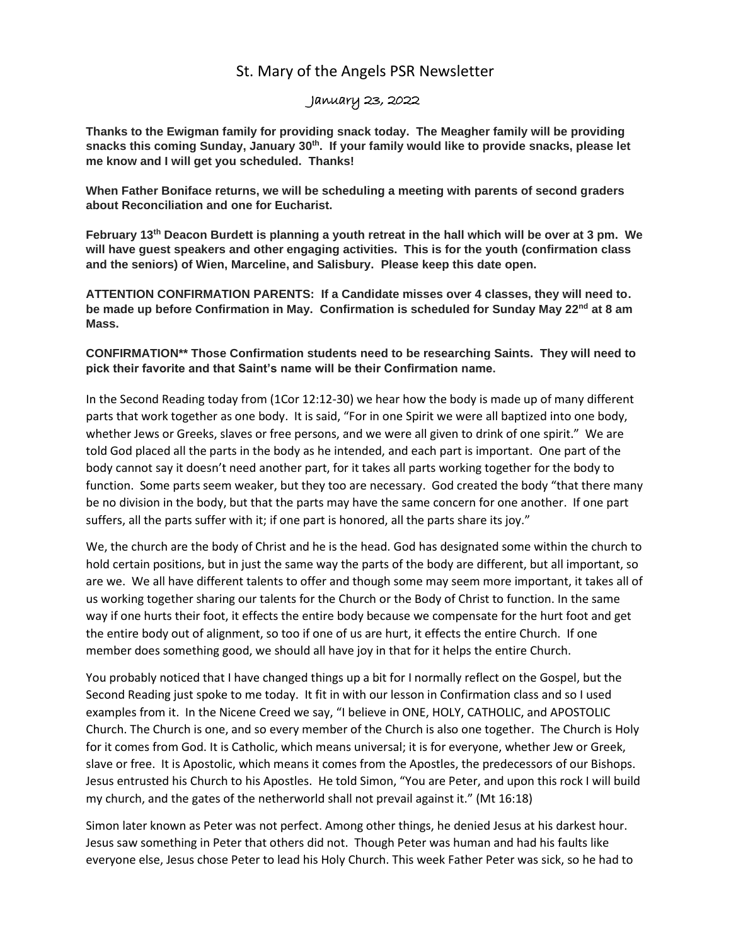## St. Mary of the Angels PSR Newsletter

## January 23, 2022

**Thanks to the Ewigman family for providing snack today. The Meagher family will be providing snacks this coming Sunday, January 30th. If your family would like to provide snacks, please let me know and I will get you scheduled. Thanks!**

**When Father Boniface returns, we will be scheduling a meeting with parents of second graders about Reconciliation and one for Eucharist.** 

**February 13th Deacon Burdett is planning a youth retreat in the hall which will be over at 3 pm. We will have guest speakers and other engaging activities. This is for the youth (confirmation class and the seniors) of Wien, Marceline, and Salisbury. Please keep this date open.**

**ATTENTION CONFIRMATION PARENTS: If a Candidate misses over 4 classes, they will need to. be made up before Confirmation in May. Confirmation is scheduled for Sunday May 22nd at 8 am Mass.** 

**CONFIRMATION\*\* Those Confirmation students need to be researching Saints. They will need to pick their favorite and that Saint's name will be their Confirmation name.**

In the Second Reading today from (1Cor 12:12-30) we hear how the body is made up of many different parts that work together as one body. It is said, "For in one Spirit we were all baptized into one body, whether Jews or Greeks, slaves or free persons, and we were all given to drink of one spirit." We are told God placed all the parts in the body as he intended, and each part is important. One part of the body cannot say it doesn't need another part, for it takes all parts working together for the body to function. Some parts seem weaker, but they too are necessary. God created the body "that there many be no division in the body, but that the parts may have the same concern for one another. If one part suffers, all the parts suffer with it; if one part is honored, all the parts share its joy."

We, the church are the body of Christ and he is the head. God has designated some within the church to hold certain positions, but in just the same way the parts of the body are different, but all important, so are we. We all have different talents to offer and though some may seem more important, it takes all of us working together sharing our talents for the Church or the Body of Christ to function. In the same way if one hurts their foot, it effects the entire body because we compensate for the hurt foot and get the entire body out of alignment, so too if one of us are hurt, it effects the entire Church. If one member does something good, we should all have joy in that for it helps the entire Church.

You probably noticed that I have changed things up a bit for I normally reflect on the Gospel, but the Second Reading just spoke to me today. It fit in with our lesson in Confirmation class and so I used examples from it. In the Nicene Creed we say, "I believe in ONE, HOLY, CATHOLIC, and APOSTOLIC Church. The Church is one, and so every member of the Church is also one together. The Church is Holy for it comes from God. It is Catholic, which means universal; it is for everyone, whether Jew or Greek, slave or free. It is Apostolic, which means it comes from the Apostles, the predecessors of our Bishops. Jesus entrusted his Church to his Apostles. He told Simon, "You are Peter, and upon this rock I will build my church, and the gates of the netherworld shall not prevail against it." (Mt 16:18)

Simon later known as Peter was not perfect. Among other things, he denied Jesus at his darkest hour. Jesus saw something in Peter that others did not. Though Peter was human and had his faults like everyone else, Jesus chose Peter to lead his Holy Church. This week Father Peter was sick, so he had to